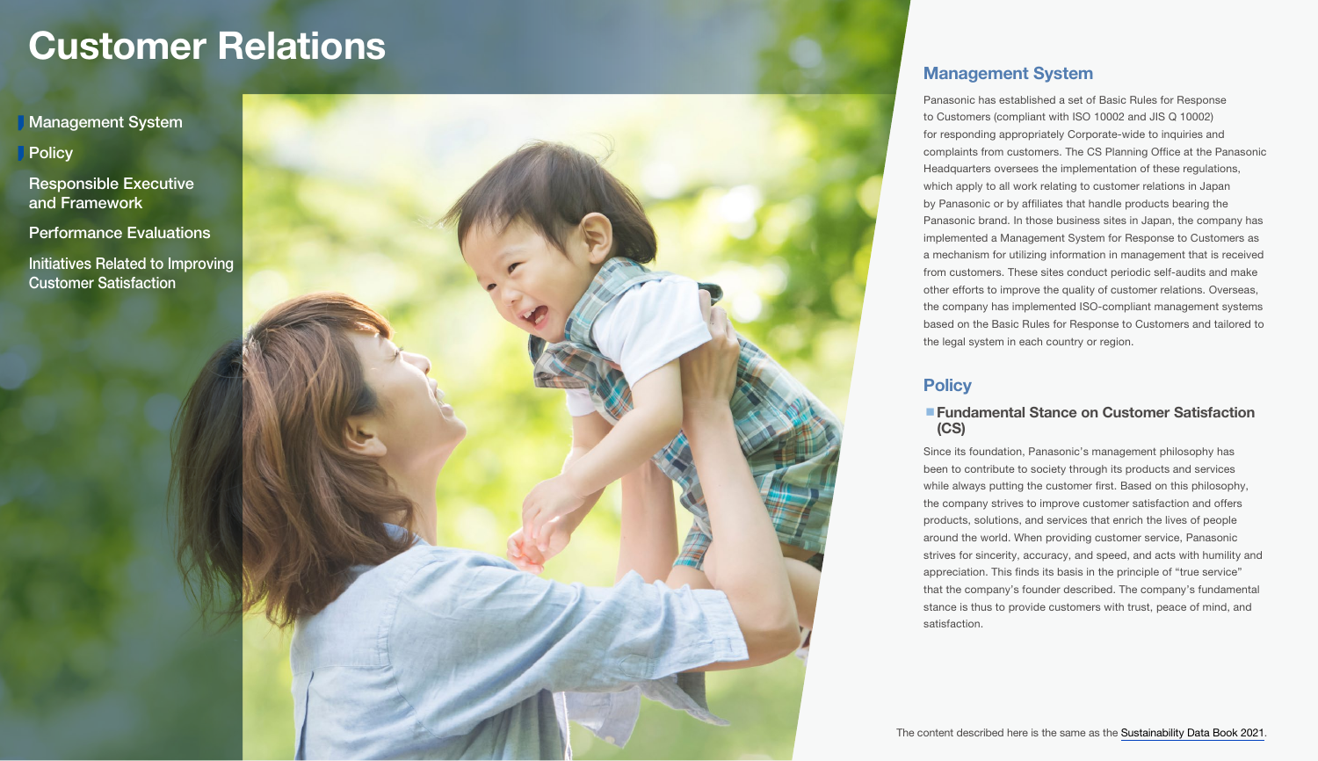<span id="page-0-0"></span>Management System

**Policy** 

[Responsible Executive](#page-1-0)  and Framework

[Performance Evaluations](#page-3-0)

[Initiatives Related to Improving](#page-3-0)  Customer Satisfaction

# Management System

Panasonic has established a set of Basic Rules for Response to Customers (compliant with ISO 10002 and JIS Q 10002) for responding appropriately Corporate-wide to inquiries and complaints from customers. The CS Planning Office at the Panasonic Headquarters oversees the implementation of these regulations, which apply to all work relating to customer relations in Japan by Panasonic or by affiliates that handle products bearing the Panasonic brand. In those business sites in Japan, the company has implemented a Management System for Response to Customers as a mechanism for utilizing information in management that is received from customers. These sites conduct periodic self-audits and make other efforts to improve the quality of customer relations. Overseas, the company has implemented ISO-compliant management systems based on the Basic Rules for Response to Customers and tailored to the legal system in each country or region.

# **Policy**

# ■ Fundamental Stance on Customer Satisfaction (CS)

Since its foundation, Panasonic's management philosophy has been to contribute to society through its products and services while always putting the customer first. Based on this philosophy, the company strives to improve customer satisfaction and offers products, solutions, and services that enrich the lives of people around the world. When providing customer service, Panasonic strives for sincerity, accuracy, and speed, and acts with humility and appreciation. This finds its basis in the principle of "true service" that the company's founder described. The company's fundamental stance is thus to provide customers with trust, peace of mind, and satisfaction.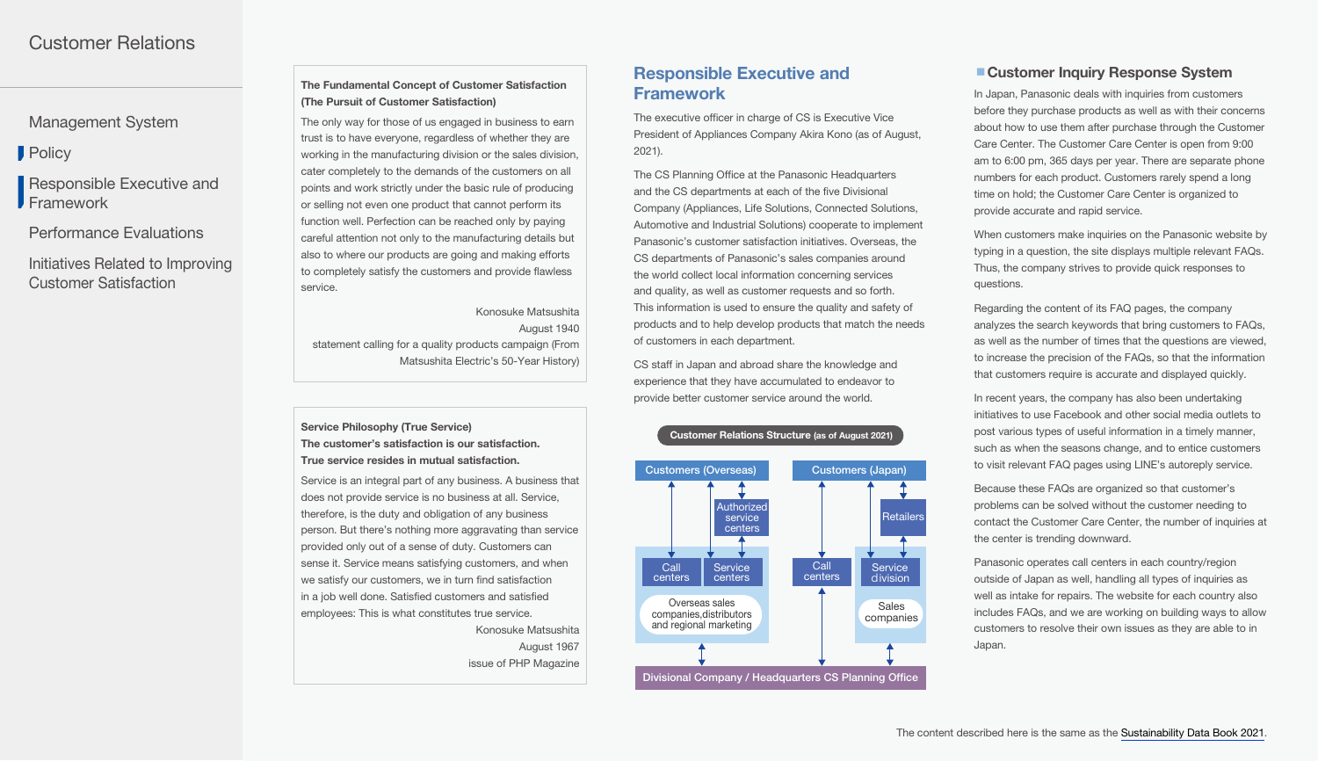<span id="page-1-0"></span>[Management System](#page-0-0)

**[Policy](#page-0-0)** 

Responsible Executive and Framework

[Performance Evaluations](#page-3-0)

[Initiatives Related to Improving](#page-3-0)  Customer Satisfaction

# The Fundamental Concept of Customer Satisfaction (The Pursuit of Customer Satisfaction)

The only way for those of us engaged in business to earn trust is to have everyone, regardless of whether they are working in the manufacturing division or the sales division, cater completely to the demands of the customers on all points and work strictly under the basic rule of producing or selling not even one product that cannot perform its function well. Perfection can be reached only by paying careful attention not only to the manufacturing details but also to where our products are going and making efforts to completely satisfy the customers and provide flawless service.

Konosuke Matsushita August 1940 statement calling for a quality products campaign (From Matsushita Electric's 50-Year History)

#### Service Philosophy (True Service) The customer's satisfaction is our satisfaction. True service resides in mutual satisfaction.

Service is an integral part of any business. A business that does not provide service is no business at all. Service, therefore, is the duty and obligation of any business person. But there's nothing more aggravating than service provided only out of a sense of duty. Customers can sense it. Service means satisfying customers, and when we satisfy our customers, we in turn find satisfaction in a job well done. Satisfied customers and satisfied employees: This is what constitutes true service.

> Konosuke Matsushita August 1967 issue of PHP Magazine

# Responsible Executive and Framework

The executive officer in charge of CS is Executive Vice President of Appliances Company Akira Kono (as of August, 2021).

The CS Planning Office at the Panasonic Headquarters and the CS departments at each of the five Divisional Company (Appliances, Life Solutions, Connected Solutions, Automotive and Industrial Solutions) cooperate to implement Panasonic's customer satisfaction initiatives. Overseas, the CS departments of Panasonic's sales companies around the world collect local information concerning services and quality, as well as customer requests and so forth. This information is used to ensure the quality and safety of products and to help develop products that match the needs of customers in each department.

CS staff in Japan and abroad share the knowledge and experience that they have accumulated to endeavor to provide better customer service around the world.

#### Customer Relations Structure (as of August 2021)



# ■ Customer Inquiry Response System

In Japan, Panasonic deals with inquiries from customers before they purchase products as well as with their concerns about how to use them after purchase through the Customer Care Center. The Customer Care Center is open from 9:00 am to 6:00 pm, 365 days per year. There are separate phone numbers for each product. Customers rarely spend a long time on hold; the Customer Care Center is organized to provide accurate and rapid service.

When customers make inquiries on the Panasonic website by typing in a question, the site displays multiple relevant FAQs. Thus, the company strives to provide quick responses to questions.

Regarding the content of its FAQ pages, the company analyzes the search keywords that bring customers to FAQs, as well as the number of times that the questions are viewed, to increase the precision of the FAQs, so that the information that customers require is accurate and displayed quickly.

In recent years, the company has also been undertaking initiatives to use Facebook and other social media outlets to post various types of useful information in a timely manner, such as when the seasons change, and to entice customers to visit relevant FAQ pages using LINE's autoreply service.

Because these FAQs are organized so that customer's problems can be solved without the customer needing to contact the Customer Care Center, the number of inquiries at the center is trending downward.

Panasonic operates call centers in each country/region outside of Japan as well, handling all types of inquiries as well as intake for repairs. The website for each country also includes FAQs, and we are working on building ways to allow customers to resolve their own issues as they are able to in Japan.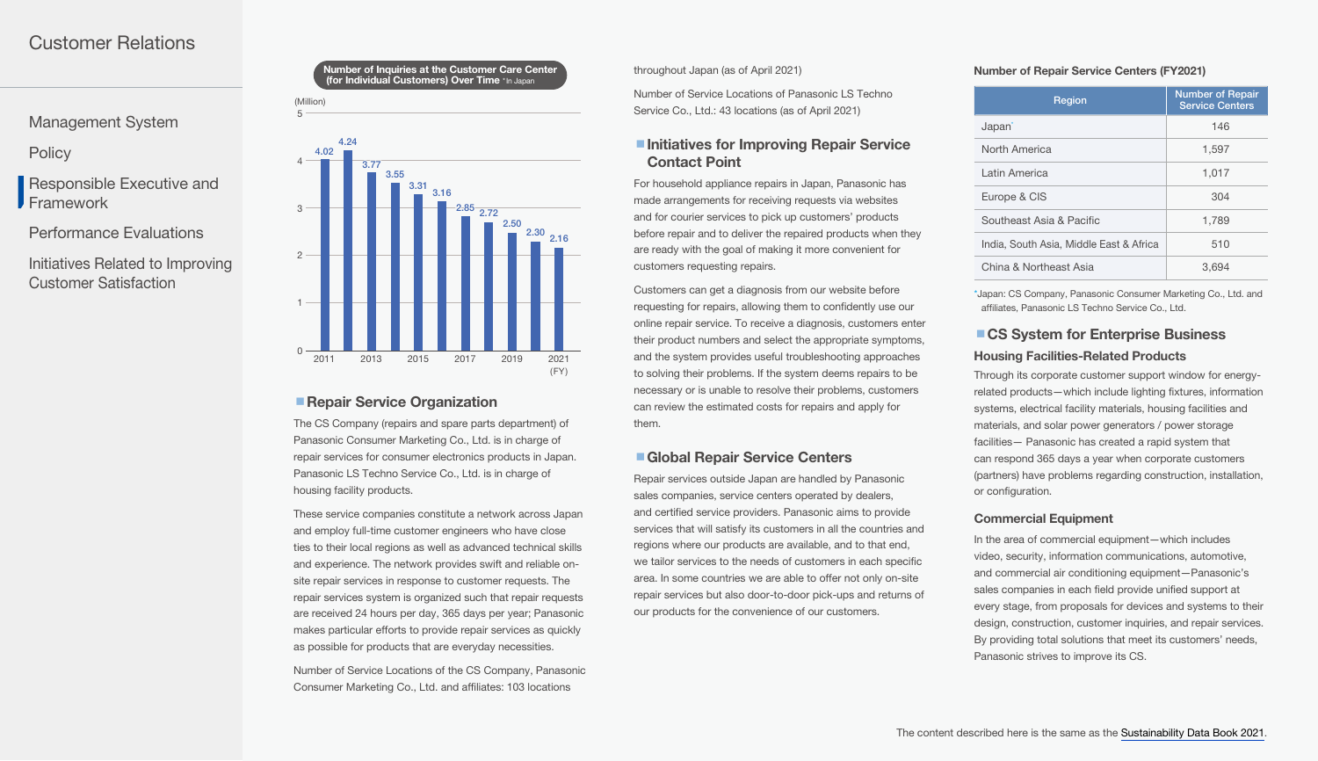[Management System](#page-0-0)

**[Policy](#page-0-0)** 

[Responsible Executive and](#page-1-0)  Framework

[Performance Evaluations](#page-3-0)

[Initiatives Related to Improving](#page-3-0)  Customer Satisfaction

#### (Million) Number of Inquiries at the Customer Care Center (for Individual Customers) Over Time \*In Japan

5



# ■ Repair Service Organization

The CS Company (repairs and spare parts department) of Panasonic Consumer Marketing Co., Ltd. is in charge of repair services for consumer electronics products in Japan. Panasonic LS Techno Service Co., Ltd. is in charge of housing facility products.

These service companies constitute a network across Japan and employ full-time customer engineers who have close ties to their local regions as well as advanced technical skills and experience. The network provides swift and reliable onsite repair services in response to customer requests. The repair services system is organized such that repair requests are received 24 hours per day, 365 days per year; Panasonic makes particular efforts to provide repair services as quickly as possible for products that are everyday necessities.

Number of Service Locations of the CS Company, Panasonic Consumer Marketing Co., Ltd. and affiliates: 103 locations

#### throughout Japan (as of April 2021)

Number of Service Locations of Panasonic LS Techno Service Co., Ltd.: 43 locations (as of April 2021)

# ■Initiatives for Improving Repair Service Contact Point

For household appliance repairs in Japan, Panasonic has made arrangements for receiving requests via websites and for courier services to pick up customers' products before repair and to deliver the repaired products when they are ready with the goal of making it more convenient for customers requesting repairs.

Customers can get a diagnosis from our website before requesting for repairs, allowing them to confidently use our online repair service. To receive a diagnosis, customers enter their product numbers and select the appropriate symptoms, and the system provides useful troubleshooting approaches to solving their problems. If the system deems repairs to be necessary or is unable to resolve their problems, customers can review the estimated costs for repairs and apply for them.

#### ■ Global Repair Service Centers

Repair services outside Japan are handled by Panasonic sales companies, service centers operated by dealers, and certified service providers. Panasonic aims to provide services that will satisfy its customers in all the countries and regions where our products are available, and to that end, we tailor services to the needs of customers in each specific area. In some countries we are able to offer not only on-site repair services but also door-to-door pick-ups and returns of our products for the convenience of our customers.

#### Number of Repair Service Centers (FY2021)

| Region                                  | <b>Number of Repair</b><br><b>Service Centers</b> |
|-----------------------------------------|---------------------------------------------------|
| Japan <sup>-</sup>                      | 146                                               |
| North America                           | 1,597                                             |
| I atin America                          | 1,017                                             |
| Europe & CIS                            | 304                                               |
| Southeast Asia & Pacific                | 1,789                                             |
| India, South Asia, Middle East & Africa | 510                                               |
| China & Northeast Asia                  | 3,694                                             |

\*Japan: CS Company, Panasonic Consumer Marketing Co., Ltd. and affiliates, Panasonic LS Techno Service Co., Ltd.

# ■ CS System for Enterprise Business Housing Facilities-Related Products

Through its corporate customer support window for energyrelated products—which include lighting fixtures, information systems, electrical facility materials, housing facilities and materials, and solar power generators / power storage facilities— Panasonic has created a rapid system that can respond 365 days a year when corporate customers (partners) have problems regarding construction, installation, or configuration.

#### Commercial Equipment

In the area of commercial equipment—which includes video, security, information communications, automotive, and commercial air conditioning equipment—Panasonic's sales companies in each field provide unified support at every stage, from proposals for devices and systems to their design, construction, customer inquiries, and repair services. By providing total solutions that meet its customers' needs, Panasonic strives to improve its CS.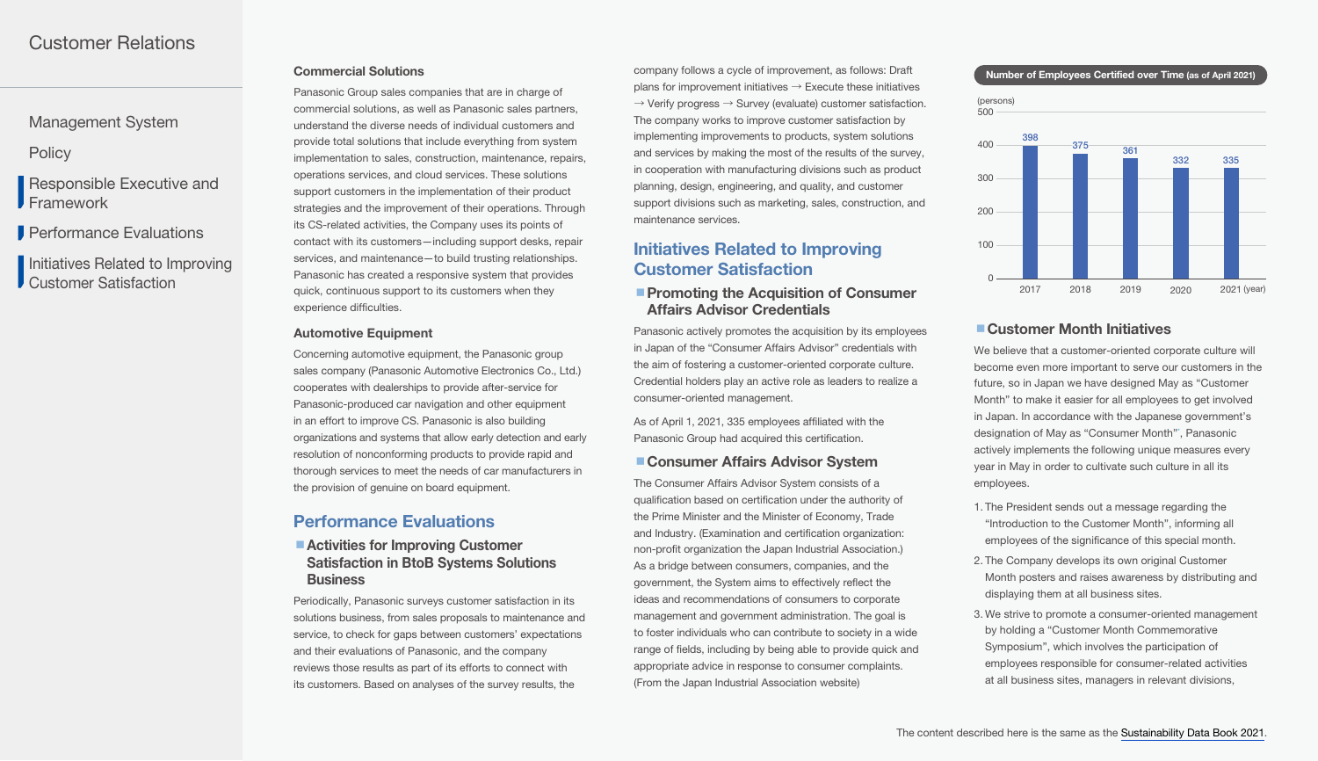# <span id="page-3-0"></span>[Management System](#page-0-0)

**[Policy](#page-0-0)** 

[Responsible Executive and](#page-1-0)  **Framework** 

**Performance Evaluations** 

Initiatives Related to Improving Customer Satisfaction

Panasonic Group sales companies that are in charge of commercial solutions, as well as Panasonic sales partners, understand the diverse needs of individual customers and provide total solutions that include everything from system implementation to sales, construction, maintenance, repairs, operations services, and cloud services. These solutions support customers in the implementation of their product strategies and the improvement of their operations. Through its CS-related activities, the Company uses its points of contact with its customers—including support desks, repair services, and maintenance—to build trusting relationships. Panasonic has created a responsive system that provides quick, continuous support to its customers when they experience difficulties.

#### **Automotive Equipment**

Concerning automotive equipment, the Panasonic group sales company (Panasonic Automotive Electronics Co., Ltd.) cooperates with dealerships to provide after-service for Panasonic-produced car navigation and other equipment in an effort to improve CS. Panasonic is also building organizations and systems that allow early detection and early resolution of nonconforming products to provide rapid and thorough services to meet the needs of car manufacturers in the provision of genuine on board equipment.

# Performance Evaluations

### ■ Activities for Improving Customer Satisfaction in BtoB Systems Solutions **Business**

Periodically, Panasonic surveys customer satisfaction in its solutions business, from sales proposals to maintenance and service, to check for gaps between customers' expectations and their evaluations of Panasonic, and the company reviews those results as part of its efforts to connect with its customers. Based on analyses of the survey results, the

Commercial Solutions **Number of Employees Certified over Time (as of April 2021)** Company follows a cycle of improvement, as follows: Draft company follows a cycle of improvement, as follows: Draft plans for improvement initiatives  $\rightarrow$  Execute these initiatives  $\rightarrow$  Verify progress  $\rightarrow$  Survey (evaluate) customer satisfaction. The company works to improve customer satisfaction by implementing improvements to products, system solutions and services by making the most of the results of the survey, in cooperation with manufacturing divisions such as product planning, design, engineering, and quality, and customer support divisions such as marketing, sales, construction, and maintenance services.

# Initiatives Related to Improving Customer Satisfaction

# **Promoting the Acquisition of Consumer** Affairs Advisor Credentials

Panasonic actively promotes the acquisition by its employees in Japan of the "Consumer Affairs Advisor" credentials with the aim of fostering a customer-oriented corporate culture. Credential holders play an active role as leaders to realize a consumer-oriented management.

As of April 1, 2021, 335 employees affiliated with the Panasonic Group had acquired this certification.

# ■ Consumer Affairs Advisor System

The Consumer Affairs Advisor System consists of a qualification based on certification under the authority of the Prime Minister and the Minister of Economy, Trade and Industry. (Examination and certification organization: non-profit organization the Japan Industrial Association.) As a bridge between consumers, companies, and the government, the System aims to effectively reflect the ideas and recommendations of consumers to corporate management and government administration. The goal is to foster individuals who can contribute to society in a wide range of fields, including by being able to provide quick and appropriate advice in response to consumer complaints. (From the Japan Industrial Association website)



#### ■ Customer Month Initiatives

We believe that a customer-oriented corporate culture will become even more important to serve our customers in the future, so in Japan we have designed May as "Customer Month" to make it easier for all employees to get involved in Japan. In accordance with the Japanese government's designation of May as "Consumer Month"\* , Panasonic actively implements the following unique measures every year in May in order to cultivate such culture in all its employees.

- 1. The President sends out a message regarding the "Introduction to the Customer Month", informing all employees of the significance of this special month.
- 2. The Company develops its own original Customer Month posters and raises awareness by distributing and displaying them at all business sites.
- 3. We strive to promote a consumer-oriented management by holding a "Customer Month Commemorative Symposium", which involves the participation of employees responsible for consumer-related activities at all business sites, managers in relevant divisions,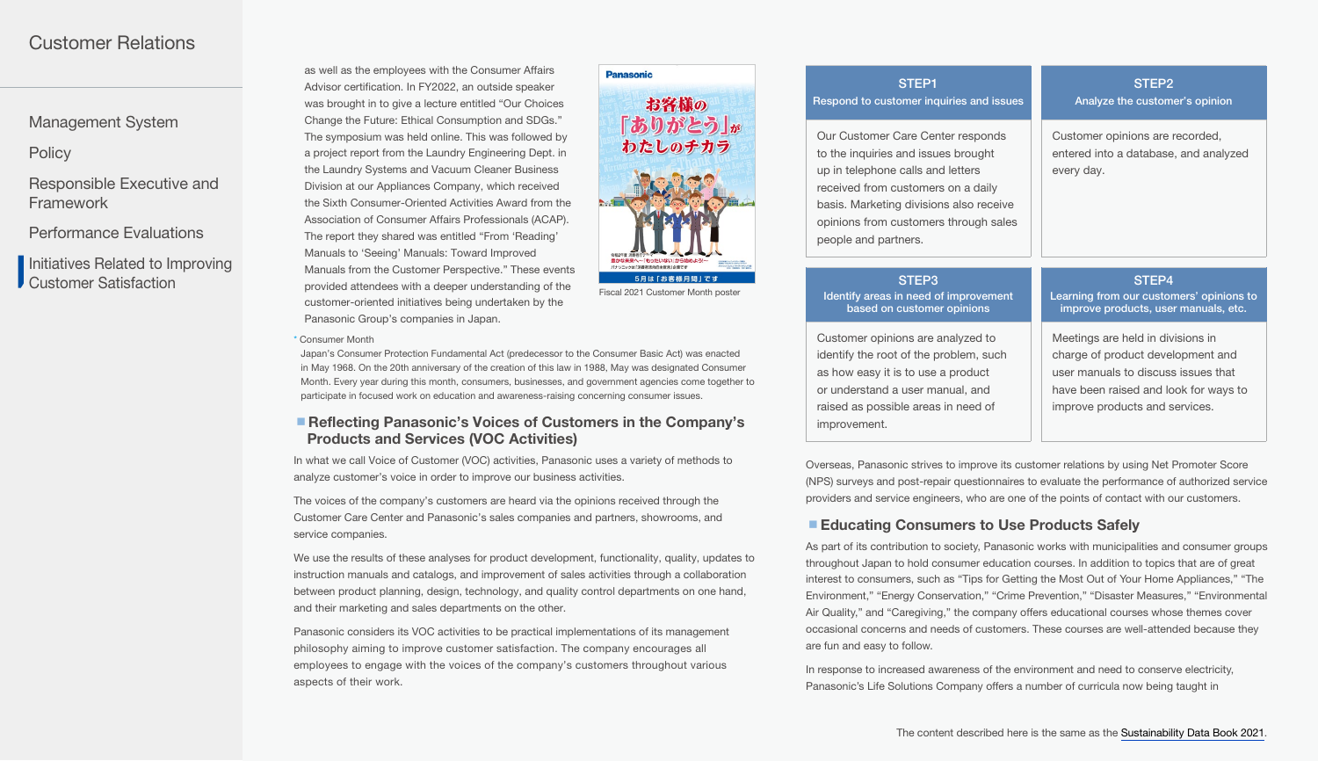[Management System](#page-0-0)

**[Policy](#page-0-0)** 

[Responsible Executive and](#page-1-0)  Framework

[Performance Evaluations](#page-3-0)

Initiatives Related to Improving Customer Satisfaction

as well as the employees with the Consumer Affairs Advisor certification. In FY2022, an outside speaker was brought in to give a lecture entitled "Our Choices Change the Future: Ethical Consumption and SDGs." The symposium was held online. This was followed by a project report from the Laundry Engineering Dept. in the Laundry Systems and Vacuum Cleaner Business Division at our Appliances Company, which received the Sixth Consumer-Oriented Activities Award from the Association of Consumer Affairs Professionals (ACAP). The report they shared was entitled "From 'Reading' Manuals to 'Seeing' Manuals: Toward Improved Manuals from the Customer Perspective." These events provided attendees with a deeper understanding of the customer-oriented initiatives being undertaken by the Panasonic Group's companies in Japan.



STEP1 Respond to customer inquiries and issues STEP2 Analyze the customer's opinion Our Customer Care Center responds to the inquiries and issues brought up in telephone calls and letters received from customers on a daily basis. Marketing divisions also receive opinions from customers through sales people and partners. Customer opinions are recorded, entered into a database, and analyzed every day. STEP3 Identify areas in need of improvement based on customer opinions STEP4

Customer opinions are analyzed to identify the root of the problem, such as how easy it is to use a product or understand a user manual, and raised as possible areas in need of improvement.

Learning from our customers' opinions to improve products, user manuals, etc.

Meetings are held in divisions in charge of product development and user manuals to discuss issues that have been raised and look for ways to improve products and services.

Overseas, Panasonic strives to improve its customer relations by using Net Promoter Score (NPS) surveys and post-repair questionnaires to evaluate the performance of authorized service providers and service engineers, who are one of the points of contact with our customers.

# ■ Educating Consumers to Use Products Safely

As part of its contribution to society, Panasonic works with municipalities and consumer groups throughout Japan to hold consumer education courses. In addition to topics that are of great interest to consumers, such as "Tips for Getting the Most Out of Your Home Appliances," "The Environment," "Energy Conservation," "Crime Prevention," "Disaster Measures," "Environmental Air Quality," and "Caregiving," the company offers educational courses whose themes cover occasional concerns and needs of customers. These courses are well-attended because they are fun and easy to follow.

In response to increased awareness of the environment and need to conserve electricity, Panasonic's Life Solutions Company offers a number of curricula now being taught in

#### \* Consumer Month

Japan's Consumer Protection Fundamental Act (predecessor to the Consumer Basic Act) was enacted in May 1968. On the 20th anniversary of the creation of this law in 1988, May was designated Consumer Month. Every year during this month, consumers, businesses, and government agencies come together to participate in focused work on education and awareness-raising concerning consumer issues.

# ■ Reflecting Panasonic's Voices of Customers in the Company's Products and Services (VOC Activities)

In what we call Voice of Customer (VOC) activities, Panasonic uses a variety of methods to analyze customer's voice in order to improve our business activities.

The voices of the company's customers are heard via the opinions received through the Customer Care Center and Panasonic's sales companies and partners, showrooms, and service companies.

We use the results of these analyses for product development, functionality, quality, updates to instruction manuals and catalogs, and improvement of sales activities through a collaboration between product planning, design, technology, and quality control departments on one hand, and their marketing and sales departments on the other.

Panasonic considers its VOC activities to be practical implementations of its management philosophy aiming to improve customer satisfaction. The company encourages all employees to engage with the voices of the company's customers throughout various aspects of their work.